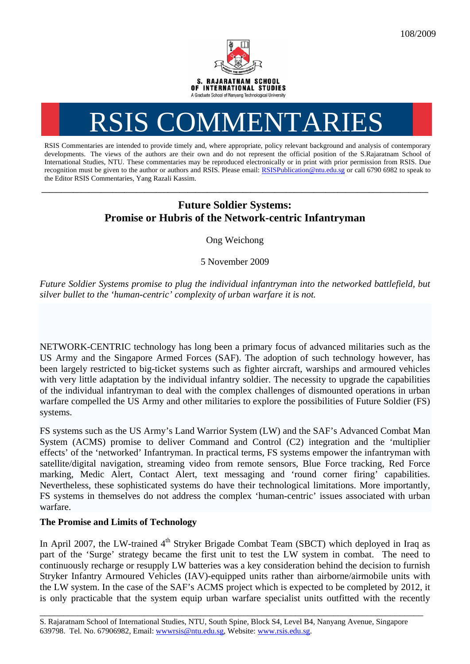

## RSIS COMMENTARI

RSIS Commentaries are intended to provide timely and, where appropriate, policy relevant background and analysis of contemporary developments. The views of the authors are their own and do not represent the official position of the S.Rajaratnam School of International Studies, NTU. These commentaries may be reproduced electronically or in print with prior permission from RSIS. Due recognition must be given to the author or authors and RSIS. Please email: RSISPublication@ntu.edu.sg or call 6790 6982 to speak to the Editor RSIS Commentaries, Yang Razali Kassim.

## **Future Soldier Systems: Promise or Hubris of the Network-centric Infantryman**

**\_\_\_\_\_\_\_\_\_\_\_\_\_\_\_\_\_\_\_\_\_\_\_\_\_\_\_\_\_\_\_\_\_\_\_\_\_\_\_\_\_\_\_\_\_\_\_\_\_\_\_\_\_\_\_\_\_\_\_\_\_\_\_\_\_\_\_\_\_\_\_\_\_\_\_\_\_\_\_\_\_\_\_\_\_\_\_\_\_\_\_\_\_\_\_\_\_\_** 

Ong Weichong

5 November 2009

*Future Soldier Systems promise to plug the individual infantryman into the networked battlefield, but silver bullet to the 'human-centric' complexity of urban warfare it is not.* 

NETWORK-CENTRIC technology has long been a primary focus of advanced militaries such as the US Army and the Singapore Armed Forces (SAF). The adoption of such technology however, has been largely restricted to big-ticket systems such as fighter aircraft, warships and armoured vehicles with very little adaptation by the individual infantry soldier. The necessity to upgrade the capabilities of the individual infantryman to deal with the complex challenges of dismounted operations in urban warfare compelled the US Army and other militaries to explore the possibilities of Future Soldier (FS) systems.

FS systems such as the US Army's Land Warrior System (LW) and the SAF's Advanced Combat Man System (ACMS) promise to deliver Command and Control (C2) integration and the 'multiplier effects' of the 'networked' Infantryman. In practical terms, FS systems empower the infantryman with satellite/digital navigation, streaming video from remote sensors, Blue Force tracking, Red Force marking, Medic Alert, Contact Alert, text messaging and 'round corner firing' capabilities. Nevertheless, these sophisticated systems do have their technological limitations. More importantly, FS systems in themselves do not address the complex 'human-centric' issues associated with urban warfare.

## **The Promise and Limits of Technology**

In April 2007, the LW-trained 4<sup>th</sup> Stryker Brigade Combat Team (SBCT) which deployed in Iraq as part of the 'Surge' strategy became the first unit to test the LW system in combat. The need to continuously recharge or resupply LW batteries was a key consideration behind the decision to furnish Stryker Infantry Armoured Vehicles (IAV)-equipped units rather than airborne/airmobile units with the LW system. In the case of the SAF's ACMS project which is expected to be completed by 2012, it is only practicable that the system equip urban warfare specialist units outfitted with the recently

\_\_\_\_\_\_\_\_\_\_\_\_\_\_\_\_\_\_\_\_\_\_\_\_\_\_\_\_\_\_\_\_\_\_\_\_\_\_\_\_\_\_\_\_\_\_\_\_\_\_\_\_\_\_\_\_\_\_\_\_\_\_\_\_\_\_\_\_\_\_\_\_\_\_\_\_\_\_\_\_\_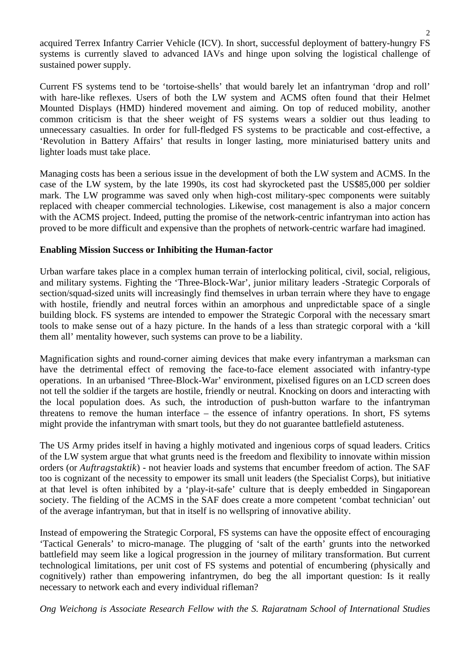acquired Terrex Infantry Carrier Vehicle (ICV). In short, successful deployment of battery-hungry FS systems is currently slaved to advanced IAVs and hinge upon solving the logistical challenge of sustained power supply.

Current FS systems tend to be 'tortoise-shells' that would barely let an infantryman 'drop and roll' with hare-like reflexes. Users of both the LW system and ACMS often found that their Helmet Mounted Displays (HMD) hindered movement and aiming. On top of reduced mobility, another common criticism is that the sheer weight of FS systems wears a soldier out thus leading to unnecessary casualties. In order for full-fledged FS systems to be practicable and cost-effective, a 'Revolution in Battery Affairs' that results in longer lasting, more miniaturised battery units and lighter loads must take place.

Managing costs has been a serious issue in the development of both the LW system and ACMS. In the case of the LW system, by the late 1990s, its cost had skyrocketed past the US\$85,000 per soldier mark. The LW programme was saved only when high-cost military-spec components were suitably replaced with cheaper commercial technologies. Likewise, cost management is also a major concern with the ACMS project. Indeed, putting the promise of the network-centric infantryman into action has proved to be more difficult and expensive than the prophets of network-centric warfare had imagined.

## **Enabling Mission Success or Inhibiting the Human-factor**

Urban warfare takes place in a complex human terrain of interlocking political, civil, social, religious, and military systems. Fighting the 'Three-Block-War', junior military leaders -Strategic Corporals of section/squad-sized units will increasingly find themselves in urban terrain where they have to engage with hostile, friendly and neutral forces within an amorphous and unpredictable space of a single building block. FS systems are intended to empower the Strategic Corporal with the necessary smart tools to make sense out of a hazy picture. In the hands of a less than strategic corporal with a 'kill them all' mentality however, such systems can prove to be a liability.

Magnification sights and round-corner aiming devices that make every infantryman a marksman can have the detrimental effect of removing the face-to-face element associated with infantry-type operations. In an urbanised 'Three-Block-War' environment, pixelised figures on an LCD screen does not tell the soldier if the targets are hostile, friendly or neutral. Knocking on doors and interacting with the local population does. As such, the introduction of push-button warfare to the infantryman threatens to remove the human interface – the essence of infantry operations. In short, FS sytems might provide the infantryman with smart tools, but they do not guarantee battlefield astuteness.

The US Army prides itself in having a highly motivated and ingenious corps of squad leaders. Critics of the LW system argue that what grunts need is the freedom and flexibility to innovate within mission orders (or *Auftragstaktik*) - not heavier loads and systems that encumber freedom of action. The SAF too is cognizant of the necessity to empower its small unit leaders (the Specialist Corps), but initiative at that level is often inhibited by a 'play-it-safe' culture that is deeply embedded in Singaporean society. The fielding of the ACMS in the SAF does create a more competent 'combat technician' out of the average infantryman, but that in itself is no wellspring of innovative ability.

Instead of empowering the Strategic Corporal, FS systems can have the opposite effect of encouraging 'Tactical Generals' to micro-manage. The plugging of 'salt of the earth' grunts into the networked battlefield may seem like a logical progression in the journey of military transformation. But current technological limitations, per unit cost of FS systems and potential of encumbering (physically and cognitively) rather than empowering infantrymen, do beg the all important question: Is it really necessary to network each and every individual rifleman?

*Ong Weichong is Associate Research Fellow with the S. Rajaratnam School of International Studies*